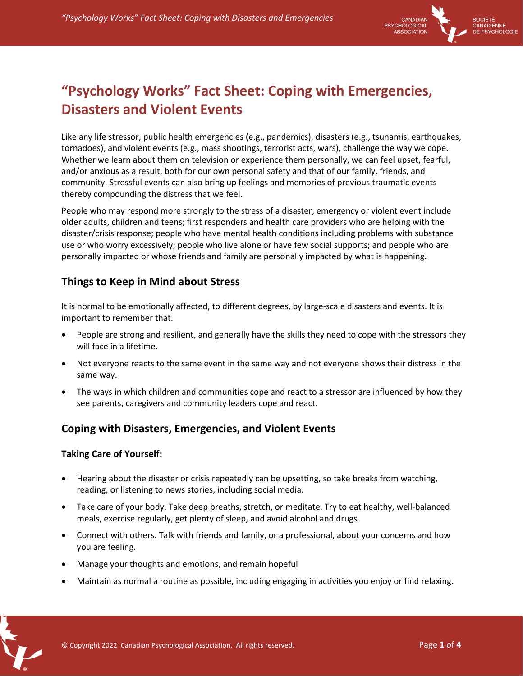

# **"Psychology Works" Fact Sheet: Coping with Emergencies, Disasters and Violent Events**

Like any life stressor, public health emergencies (e.g., pandemics), disasters (e.g., tsunamis, earthquakes, tornadoes), and violent events (e.g., mass shootings, terrorist acts, wars), challenge the way we cope. Whether we learn about them on television or experience them personally, we can feel upset, fearful, and/or anxious as a result, both for our own personal safety and that of our family, friends, and community. Stressful events can also bring up feelings and memories of previous traumatic events thereby compounding the distress that we feel.

People who may respond more strongly to the stress of a disaster, emergency or violent event include older adults, children and teens; first responders and health care providers who are helping with the disaster/crisis response; people who have mental health conditions including problems with substance use or who worry excessively; people who live alone or have few social supports; and people who are personally impacted or whose friends and family are personally impacted by what is happening.

# **Things to Keep in Mind about Stress**

It is normal to be emotionally affected, to different degrees, by large-scale disasters and events. It is important to remember that.

- People are strong and resilient, and generally have the skills they need to cope with the stressors they will face in a lifetime.
- Not everyone reacts to the same event in the same way and not everyone shows their distress in the same way.
- The ways in which children and communities cope and react to a stressor are influenced by how they see parents, caregivers and community leaders cope and react.

# **Coping with Disasters, Emergencies, and Violent Events**

### **Taking Care of Yourself:**

- Hearing about the disaster or crisis repeatedly can be upsetting, so take breaks from watching, reading, or listening to news stories, including social media.
- Take care of your body. Take deep breaths, stretch, or meditate. Try to eat healthy, well-balanced meals, exercise regularly, get plenty of sleep, and avoid alcohol and drugs.
- Connect with others. Talk with friends and family, or a professional, about your concerns and how you are feeling.
- Manage your thoughts and emotions, and remain hopeful
- Maintain as normal a routine as possible, including engaging in activities you enjoy or find relaxing.

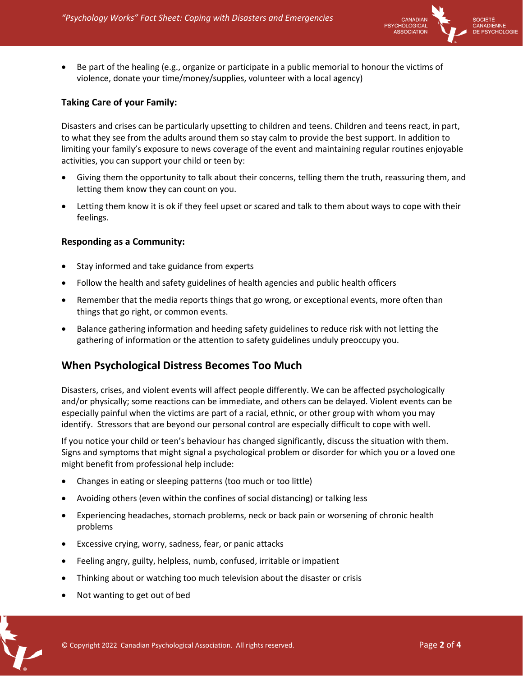

• Be part of the healing (e.g., organize or participate in a public memorial to honour the victims of violence, donate your time/money/supplies, volunteer with a local agency)

## **Taking Care of your Family:**

Disasters and crises can be particularly upsetting to children and teens. Children and teens react, in part, to what they see from the adults around them so stay calm to provide the best support. In addition to limiting your family's exposure to news coverage of the event and maintaining regular routines enjoyable activities, you can support your child or teen by:

- Giving them the opportunity to talk about their concerns, telling them the truth, reassuring them, and letting them know they can count on you.
- Letting them know it is ok if they feel upset or scared and talk to them about ways to cope with their feelings.

### **Responding as a Community:**

- Stay informed and take guidance from experts
- Follow the health and safety guidelines of health agencies and public health officers
- Remember that the media reports things that go wrong, or exceptional events, more often than things that go right, or common events.
- Balance gathering information and heeding safety guidelines to reduce risk with not letting the gathering of information or the attention to safety guidelines unduly preoccupy you.

## **When Psychological Distress Becomes Too Much**

Disasters, crises, and violent events will affect people differently. We can be affected psychologically and/or physically; some reactions can be immediate, and others can be delayed. Violent events can be especially painful when the victims are part of a racial, ethnic, or other group with whom you may identify. Stressors that are beyond our personal control are especially difficult to cope with well.

If you notice your child or teen's behaviour has changed significantly, discuss the situation with them. Signs and symptoms that might signal a psychological problem or disorder for which you or a loved one might benefit from professional help include:

- Changes in eating or sleeping patterns (too much or too little)
- Avoiding others (even within the confines of social distancing) or talking less
- Experiencing headaches, stomach problems, neck or back pain or worsening of chronic health problems
- Excessive crying, worry, sadness, fear, or panic attacks
- Feeling angry, guilty, helpless, numb, confused, irritable or impatient
- Thinking about or watching too much television about the disaster or crisis
- Not wanting to get out of bed

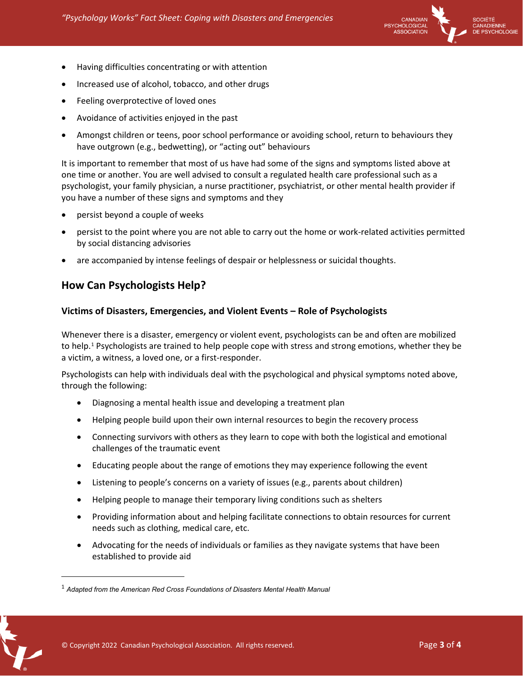

- Having difficulties concentrating or with attention
- Increased use of alcohol, tobacco, and other drugs
- Feeling overprotective of loved ones
- Avoidance of activities enjoyed in the past
- Amongst children or teens, poor school performance or avoiding school, return to behaviours they have outgrown (e.g., bedwetting), or "acting out" behaviours

It is important to remember that most of us have had some of the signs and symptoms listed above at one time or another. You are well advised to consult a regulated health care professional such as a psychologist, your family physician, a nurse practitioner, psychiatrist, or other mental health provider if you have a number of these signs and symptoms and they

- persist beyond a couple of weeks
- persist to the point where you are not able to carry out the home or work-related activities permitted by social distancing advisories
- are accompanied by intense feelings of despair or helplessness or suicidal thoughts.

## **How Can Psychologists Help?**

#### **Victims of Disasters, Emergencies, and Violent Events – Role of Psychologists**

Whenever there is a disaster, emergency or violent event, psychologists can be and often are mobilized to help. [1](#page-2-0) Psychologists are trained to help people cope with stress and strong emotions, whether they be a victim, a witness, a loved one, or a first-responder.

Psychologists can help with individuals deal with the psychological and physical symptoms noted above, through the following:

- Diagnosing a mental health issue and developing a treatment plan
- Helping people build upon their own internal resources to begin the recovery process
- Connecting survivors with others as they learn to cope with both the logistical and emotional challenges of the traumatic event
- Educating people about the range of emotions they may experience following the event
- Listening to people's concerns on a variety of issues (e.g., parents about children)
- Helping people to manage their temporary living conditions such as shelters
- Providing information about and helping facilitate connections to obtain resources for current needs such as clothing, medical care, etc.
- Advocating for the needs of individuals or families as they navigate systems that have been established to provide aid

<span id="page-2-0"></span><sup>1</sup> *Adapted from the American Red Cross Foundations of Disasters Mental Health Manual*